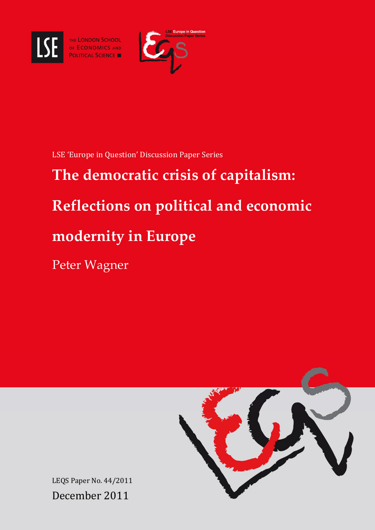

THE LONDON SCHOOL<br>OF ECONOMICS AND<br>POLITICAL SCIENCE



LSE 'Europe in Question' Discussion Paper Series

# **The democratic crisis of capitalism: Reflections on political and economic modernity in Europe**

Peter Wagner



LEQS Paper No. 44/2011 December 2011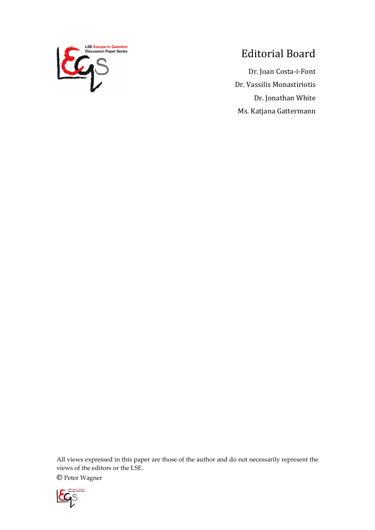

## Editorial Board

Dr. Joan Costa-i-Font Dr. Vassilis Monastiriotis Dr. Jonathan White Ms. Katjana Gattermann

All views expressed in this paper are those of the author and do not necessarily represent the views of the editors or the LSE.

**©** Peter Wagner

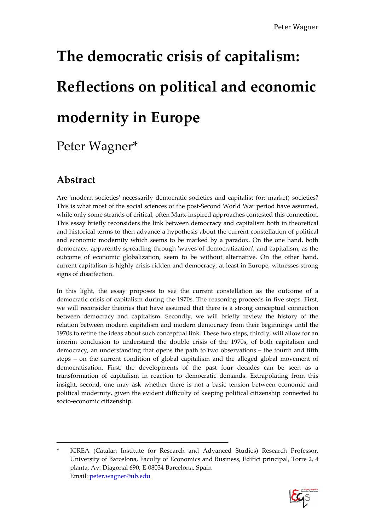# **The democratic crisis of capitalism: Reflections on political and economic modernity in Europe**

## Peter Wagner\*

### **Abstract**

Are 'modern societies' necessarily democratic societies and capitalist (or: market) societies? This is what most of the social sciences of the post-Second World War period have assumed, while only some strands of critical, often Marx-inspired approaches contested this connection. This essay briefly reconsiders the link between democracy and capitalism both in theoretical and historical terms to then advance a hypothesis about the current constellation of political and economic modernity which seems to be marked by a paradox. On the one hand, both democracy, apparently spreading through 'waves of democratization', and capitalism, as the outcome of economic globalization, seem to be without alternative. On the other hand, current capitalism is highly crisis-ridden and democracy, at least in Europe, witnesses strong signs of disaffection.

In this light, the essay proposes to see the current constellation as the outcome of a democratic crisis of capitalism during the 1970s. The reasoning proceeds in five steps. First, we will reconsider theories that have assumed that there is a strong conceptual connection between democracy and capitalism. Secondly, we will briefly review the history of the relation between modern capitalism and modern democracy from their beginnings until the 1970s to refine the ideas about such conceptual link. These two steps, thirdly, will allow for an interim conclusion to understand the double crisis of the 1970s, of both capitalism and democracy, an understanding that opens the path to two observations – the fourth and fifth steps – on the current condition of global capitalism and the alleged global movement of democratisation. First, the developments of the past four decades can be seen as a transformation of capitalism in reaction to democratic demands. Extrapolating from this insight, second, one may ask whether there is not a basic tension between economic and political modernity, given the evident difficulty of keeping political citizenship connected to socio-economic citizenship.

\* ICREA (Catalan Institute for Research and Advanced Studies) Research Professor, University of Barcelona, Faculty of Economics and Business, Edifici principal, Torre 2, 4 planta, Av. Diagonal 690, E-08034 Barcelona, Spain Email: peter.wagner@ub.edu

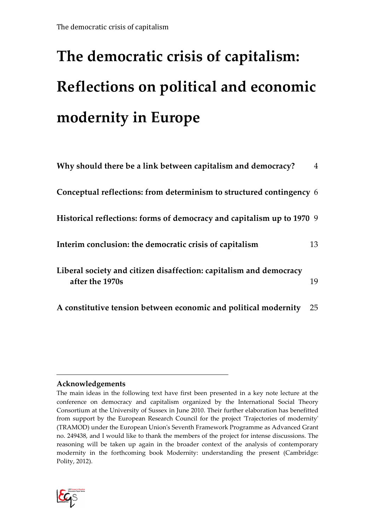# **The democratic crisis of capitalism: Reflections on political and economic modernity in Europe**

| Why should there be a link between capitalism and democracy?                          | $\overline{4}$ |
|---------------------------------------------------------------------------------------|----------------|
| Conceptual reflections: from determinism to structured contingency 6                  |                |
| Historical reflections: forms of democracy and capitalism up to 1970 9                |                |
| Interim conclusion: the democratic crisis of capitalism                               | 13             |
| Liberal society and citizen disaffection: capitalism and democracy<br>after the 1970s | 19             |
| A constitutive tension between economic and political modernity                       | 25             |

#### **Acknowledgements**

The main ideas in the following text have first been presented in a key note lecture at the conference on democracy and capitalism organized by the International Social Theory Consortium at the University of Sussex in June 2010. Their further elaboration has benefitted from support by the European Research Council for the project 'Trajectories of modernity' (TRAMOD) under the European Union's Seventh Framework Programme as Advanced Grant no. 249438, and I would like to thank the members of the project for intense discussions. The reasoning will be taken up again in the broader context of the analysis of contemporary modernity in the forthcoming book Modernity: understanding the present (Cambridge: Polity, 2012).

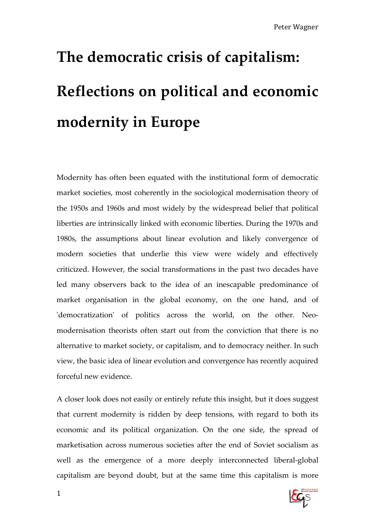# **The democratic crisis of capitalism: Reflections on political and economic modernity in Europe**

Modernity has often been equated with the institutional form of democratic market societies, most coherently in the sociological modernisation theory of the 1950s and 1960s and most widely by the widespread belief that political liberties are intrinsically linked with economic liberties. During the 1970s and 1980s, the assumptions about linear evolution and likely convergence of modern societies that underlie this view were widely and effectively criticized. However, the social transformations in the past two decades have led many observers back to the idea of an inescapable predominance of market organisation in the global economy, on the one hand, and of 'democratization' of politics across the world, on the other. Neomodernisation theorists often start out from the conviction that there is no alternative to market society, or capitalism, and to democracy neither. In such view, the basic idea of linear evolution and convergence has recently acquired forceful new evidence.

A closer look does not easily or entirely refute this insight, but it does suggest that current modernity is ridden by deep tensions, with regard to both its economic and its political organization. On the one side, the spread of marketisation across numerous societies after the end of Soviet socialism as well as the emergence of a more deeply interconnected liberal-global capitalism are beyond doubt, but at the same time this capitalism is more

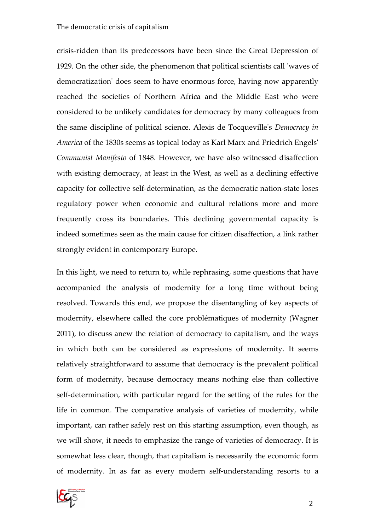crisis-ridden than its predecessors have been since the Great Depression of 1929. On the other side, the phenomenon that political scientists call 'waves of democratization' does seem to have enormous force, having now apparently reached the societies of Northern Africa and the Middle East who were considered to be unlikely candidates for democracy by many colleagues from the same discipline of political science. Alexis de Tocqueville's *Democracy in America* of the 1830s seems as topical today as Karl Marx and Friedrich Engels' *Communist Manifesto* of 1848. However, we have also witnessed disaffection with existing democracy, at least in the West, as well as a declining effective capacity for collective self-determination, as the democratic nation-state loses regulatory power when economic and cultural relations more and more frequently cross its boundaries. This declining governmental capacity is indeed sometimes seen as the main cause for citizen disaffection, a link rather strongly evident in contemporary Europe.

In this light, we need to return to, while rephrasing, some questions that have accompanied the analysis of modernity for a long time without being resolved. Towards this end, we propose the disentangling of key aspects of modernity, elsewhere called the core problématiques of modernity (Wagner 2011), to discuss anew the relation of democracy to capitalism, and the ways in which both can be considered as expressions of modernity. It seems relatively straightforward to assume that democracy is the prevalent political form of modernity, because democracy means nothing else than collective self-determination, with particular regard for the setting of the rules for the life in common. The comparative analysis of varieties of modernity, while important, can rather safely rest on this starting assumption, even though, as we will show, it needs to emphasize the range of varieties of democracy. It is somewhat less clear, though, that capitalism is necessarily the economic form of modernity. In as far as every modern self-understanding resorts to a

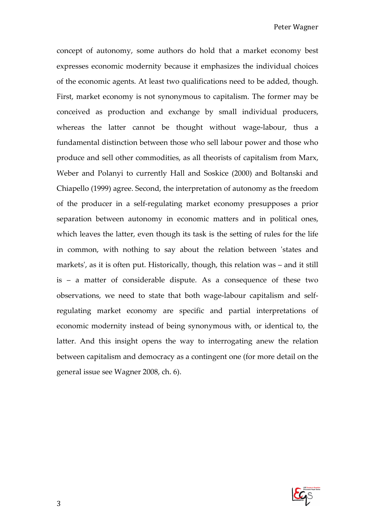concept of autonomy, some authors do hold that a market economy best expresses economic modernity because it emphasizes the individual choices of the economic agents. At least two qualifications need to be added, though. First, market economy is not synonymous to capitalism. The former may be conceived as production and exchange by small individual producers, whereas the latter cannot be thought without wage-labour, thus a fundamental distinction between those who sell labour power and those who produce and sell other commodities, as all theorists of capitalism from Marx, Weber and Polanyi to currently Hall and Soskice (2000) and Boltanski and Chiapello (1999) agree. Second, the interpretation of autonomy as the freedom of the producer in a self-regulating market economy presupposes a prior separation between autonomy in economic matters and in political ones, which leaves the latter, even though its task is the setting of rules for the life in common, with nothing to say about the relation between 'states and markets', as it is often put. Historically, though, this relation was – and it still is – a matter of considerable dispute. As a consequence of these two observations, we need to state that both wage-labour capitalism and selfregulating market economy are specific and partial interpretations of economic modernity instead of being synonymous with, or identical to, the latter. And this insight opens the way to interrogating anew the relation between capitalism and democracy as a contingent one (for more detail on the general issue see Wagner 2008, ch. 6).

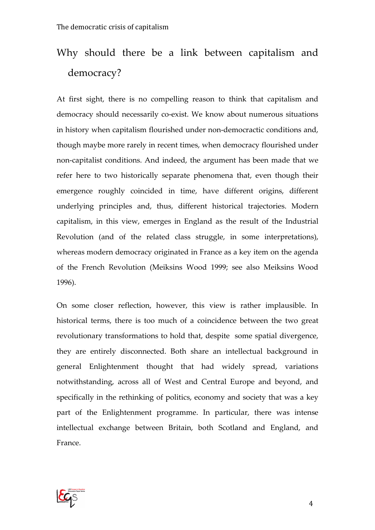## Why should there be a link between capitalism and democracy?

At first sight, there is no compelling reason to think that capitalism and democracy should necessarily co-exist. We know about numerous situations in history when capitalism flourished under non-democractic conditions and, though maybe more rarely in recent times, when democracy flourished under non-capitalist conditions. And indeed, the argument has been made that we refer here to two historically separate phenomena that, even though their emergence roughly coincided in time, have different origins, different underlying principles and, thus, different historical trajectories. Modern capitalism, in this view, emerges in England as the result of the Industrial Revolution (and of the related class struggle, in some interpretations), whereas modern democracy originated in France as a key item on the agenda of the French Revolution (Meiksins Wood 1999; see also Meiksins Wood 1996).

On some closer reflection, however, this view is rather implausible. In historical terms, there is too much of a coincidence between the two great revolutionary transformations to hold that, despite some spatial divergence, they are entirely disconnected. Both share an intellectual background in general Enlightenment thought that had widely spread, variations notwithstanding, across all of West and Central Europe and beyond, and specifically in the rethinking of politics, economy and society that was a key part of the Enlightenment programme. In particular, there was intense intellectual exchange between Britain, both Scotland and England, and France.

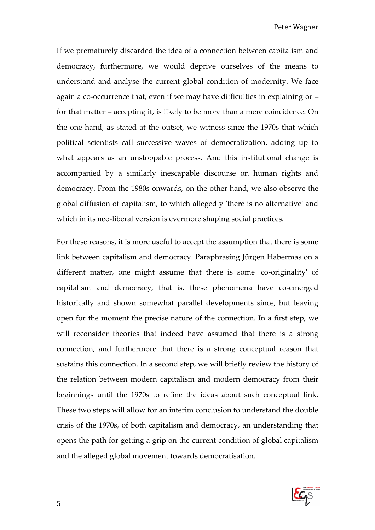If we prematurely discarded the idea of a connection between capitalism and democracy, furthermore, we would deprive ourselves of the means to understand and analyse the current global condition of modernity. We face again a co-occurrence that, even if we may have difficulties in explaining or – for that matter – accepting it, is likely to be more than a mere coincidence. On the one hand, as stated at the outset, we witness since the 1970s that which political scientists call successive waves of democratization, adding up to what appears as an unstoppable process. And this institutional change is accompanied by a similarly inescapable discourse on human rights and democracy. From the 1980s onwards, on the other hand, we also observe the global diffusion of capitalism, to which allegedly 'there is no alternative' and which in its neo-liberal version is evermore shaping social practices.

For these reasons, it is more useful to accept the assumption that there is some link between capitalism and democracy. Paraphrasing Jürgen Habermas on a different matter, one might assume that there is some 'co-originality' of capitalism and democracy, that is, these phenomena have co-emerged historically and shown somewhat parallel developments since, but leaving open for the moment the precise nature of the connection. In a first step, we will reconsider theories that indeed have assumed that there is a strong connection, and furthermore that there is a strong conceptual reason that sustains this connection. In a second step, we will briefly review the history of the relation between modern capitalism and modern democracy from their beginnings until the 1970s to refine the ideas about such conceptual link. These two steps will allow for an interim conclusion to understand the double crisis of the 1970s, of both capitalism and democracy, an understanding that opens the path for getting a grip on the current condition of global capitalism and the alleged global movement towards democratisation.

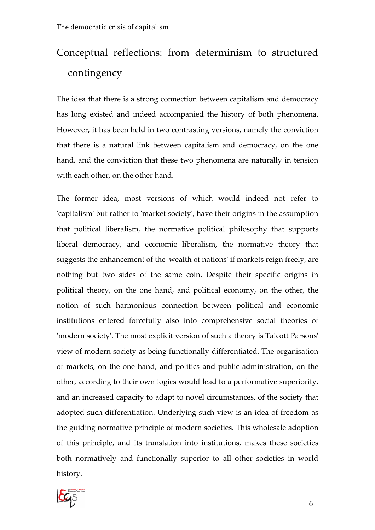## Conceptual reflections: from determinism to structured contingency

The idea that there is a strong connection between capitalism and democracy has long existed and indeed accompanied the history of both phenomena. However, it has been held in two contrasting versions, namely the conviction that there is a natural link between capitalism and democracy, on the one hand, and the conviction that these two phenomena are naturally in tension with each other, on the other hand.

The former idea, most versions of which would indeed not refer to 'capitalism' but rather to 'market society', have their origins in the assumption that political liberalism, the normative political philosophy that supports liberal democracy, and economic liberalism, the normative theory that suggests the enhancement of the 'wealth of nations' if markets reign freely, are nothing but two sides of the same coin. Despite their specific origins in political theory, on the one hand, and political economy, on the other, the notion of such harmonious connection between political and economic institutions entered forcefully also into comprehensive social theories of 'modern society'. The most explicit version of such a theory is Talcott Parsons' view of modern society as being functionally differentiated. The organisation of markets, on the one hand, and politics and public administration, on the other, according to their own logics would lead to a performative superiority, and an increased capacity to adapt to novel circumstances, of the society that adopted such differentiation. Underlying such view is an idea of freedom as the guiding normative principle of modern societies. This wholesale adoption of this principle, and its translation into institutions, makes these societies both normatively and functionally superior to all other societies in world history.

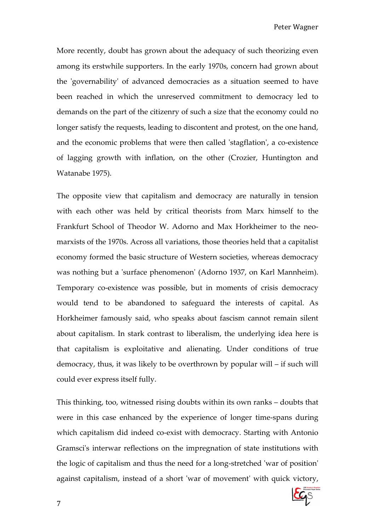More recently, doubt has grown about the adequacy of such theorizing even among its erstwhile supporters. In the early 1970s, concern had grown about the 'governability' of advanced democracies as a situation seemed to have been reached in which the unreserved commitment to democracy led to demands on the part of the citizenry of such a size that the economy could no longer satisfy the requests, leading to discontent and protest, on the one hand, and the economic problems that were then called 'stagflation', a co-existence of lagging growth with inflation, on the other (Crozier, Huntington and Watanabe 1975).

The opposite view that capitalism and democracy are naturally in tension with each other was held by critical theorists from Marx himself to the Frankfurt School of Theodor W. Adorno and Max Horkheimer to the neomarxists of the 1970s. Across all variations, those theories held that a capitalist economy formed the basic structure of Western societies, whereas democracy was nothing but a 'surface phenomenon' (Adorno 1937, on Karl Mannheim). Temporary co-existence was possible, but in moments of crisis democracy would tend to be abandoned to safeguard the interests of capital. As Horkheimer famously said, who speaks about fascism cannot remain silent about capitalism. In stark contrast to liberalism, the underlying idea here is that capitalism is exploitative and alienating. Under conditions of true democracy, thus, it was likely to be overthrown by popular will – if such will could ever express itself fully.

This thinking, too, witnessed rising doubts within its own ranks – doubts that were in this case enhanced by the experience of longer time-spans during which capitalism did indeed co-exist with democracy. Starting with Antonio Gramsci's interwar reflections on the impregnation of state institutions with the logic of capitalism and thus the need for a long-stretched 'war of position' against capitalism, instead of a short 'war of movement' with quick victory,

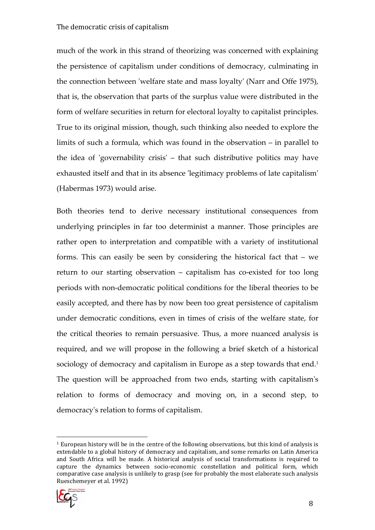much of the work in this strand of theorizing was concerned with explaining the persistence of capitalism under conditions of democracy, culminating in the connection between 'welfare state and mass loyalty' (Narr and Offe 1975), that is, the observation that parts of the surplus value were distributed in the form of welfare securities in return for electoral loyalty to capitalist principles. True to its original mission, though, such thinking also needed to explore the limits of such a formula, which was found in the observation – in parallel to the idea of 'governability crisis' – that such distributive politics may have exhausted itself and that in its absence 'legitimacy problems of late capitalism' (Habermas 1973) would arise.

Both theories tend to derive necessary institutional consequences from underlying principles in far too determinist a manner. Those principles are rather open to interpretation and compatible with a variety of institutional forms. This can easily be seen by considering the historical fact that – we return to our starting observation – capitalism has co-existed for too long periods with non-democratic political conditions for the liberal theories to be easily accepted, and there has by now been too great persistence of capitalism under democratic conditions, even in times of crisis of the welfare state, for the critical theories to remain persuasive. Thus, a more nuanced analysis is required, and we will propose in the following a brief sketch of a historical sociology of democracy and capitalism in Europe as a step towards that end.<sup>1</sup> The question will be approached from two ends, starting with capitalism's relation to forms of democracy and moving on, in a second step, to democracy's relation to forms of capitalism.

 $\overline{a}$ <sup>1</sup> European history will be in the centre of the following observations, but this kind of analysis is extendable to a global history of democracy and capitalism, and some remarks on Latin America and South Africa will be made. A historical analysis of social transformations is required to capture the dynamics between socio-economic constellation and political form, which comparative case analysis is unlikely to grasp (see for probably the most elaborate such analysis Rueschemeyer et al. 1992)

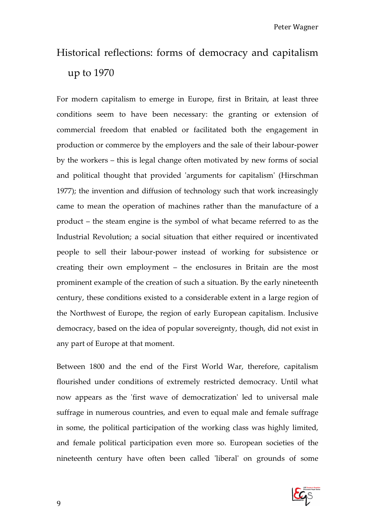## Historical reflections: forms of democracy and capitalism up to 1970

For modern capitalism to emerge in Europe, first in Britain, at least three conditions seem to have been necessary: the granting or extension of commercial freedom that enabled or facilitated both the engagement in production or commerce by the employers and the sale of their labour-power by the workers – this is legal change often motivated by new forms of social and political thought that provided 'arguments for capitalism' (Hirschman 1977); the invention and diffusion of technology such that work increasingly came to mean the operation of machines rather than the manufacture of a product – the steam engine is the symbol of what became referred to as the Industrial Revolution; a social situation that either required or incentivated people to sell their labour-power instead of working for subsistence or creating their own employment – the enclosures in Britain are the most prominent example of the creation of such a situation. By the early nineteenth century, these conditions existed to a considerable extent in a large region of the Northwest of Europe, the region of early European capitalism. Inclusive democracy, based on the idea of popular sovereignty, though, did not exist in any part of Europe at that moment.

Between 1800 and the end of the First World War, therefore, capitalism flourished under conditions of extremely restricted democracy. Until what now appears as the 'first wave of democratization' led to universal male suffrage in numerous countries, and even to equal male and female suffrage in some, the political participation of the working class was highly limited, and female political participation even more so. European societies of the nineteenth century have often been called 'liberal' on grounds of some

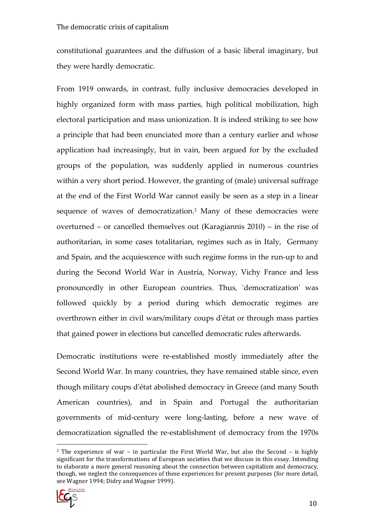constitutional guarantees and the diffusion of a basic liberal imaginary, but they were hardly democratic.

From 1919 onwards, in contrast, fully inclusive democracies developed in highly organized form with mass parties, high political mobilization, high electoral participation and mass unionization. It is indeed striking to see how a principle that had been enunciated more than a century earlier and whose application had increasingly, but in vain, been argued for by the excluded groups of the population, was suddenly applied in numerous countries within a very short period. However, the granting of (male) universal suffrage at the end of the First World War cannot easily be seen as a step in a linear sequence of waves of democratization.<sup>2</sup> Many of these democracies were overturned – or cancelled themselves out (Karagiannis 2010) – in the rise of authoritarian, in some cases totalitarian, regimes such as in Italy, Germany and Spain, and the acquiescence with such regime forms in the run-up to and during the Second World War in Austria, Norway, Vichy France and less pronouncedly in other European countries. Thus, 'democratization' was followed quickly by a period during which democratic regimes are overthrown either in civil wars/military coups d'état or through mass parties that gained power in elections but cancelled democratic rules afterwards.

Democratic institutions were re-established mostly immediately after the Second World War. In many countries, they have remained stable since, even though military coups d'état abolished democracy in Greece (and many South American countries), and in Spain and Portugal the authoritarian governments of mid-century were long-lasting, before a new wave of democratization signalled the re-establishment of democracy from the 1970s

<sup>&</sup>lt;sup>2</sup> The experience of war – in particular the First World War, but also the Second – is highly significant for the transformations of European societies that we discuss in this essay. Intending to elaborate a more general reasoning about the connection between capitalism and democracy, though, we neglect the consequences of these experiences for present purposes (for more detail, see Wagner 1994; Didry and Wagner 1999).



 $\overline{a}$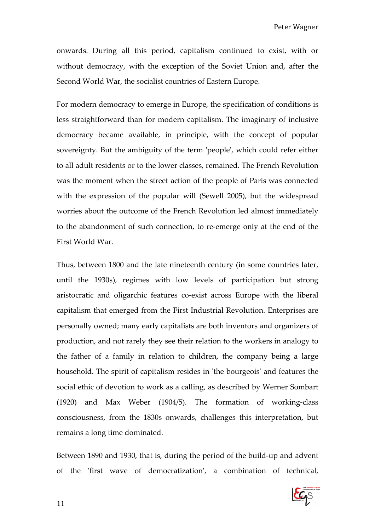onwards. During all this period, capitalism continued to exist, with or without democracy, with the exception of the Soviet Union and, after the Second World War, the socialist countries of Eastern Europe.

For modern democracy to emerge in Europe, the specification of conditions is less straightforward than for modern capitalism. The imaginary of inclusive democracy became available, in principle, with the concept of popular sovereignty. But the ambiguity of the term 'people', which could refer either to all adult residents or to the lower classes, remained. The French Revolution was the moment when the street action of the people of Paris was connected with the expression of the popular will (Sewell 2005), but the widespread worries about the outcome of the French Revolution led almost immediately to the abandonment of such connection, to re-emerge only at the end of the First World War.

Thus, between 1800 and the late nineteenth century (in some countries later, until the 1930s), regimes with low levels of participation but strong aristocratic and oligarchic features co-exist across Europe with the liberal capitalism that emerged from the First Industrial Revolution. Enterprises are personally owned; many early capitalists are both inventors and organizers of production, and not rarely they see their relation to the workers in analogy to the father of a family in relation to children, the company being a large household. The spirit of capitalism resides in 'the bourgeois' and features the social ethic of devotion to work as a calling, as described by Werner Sombart (1920) and Max Weber (1904/5). The formation of working-class consciousness, from the 1830s onwards, challenges this interpretation, but remains a long time dominated.

Between 1890 and 1930, that is, during the period of the build-up and advent of the 'first wave of democratization', a combination of technical,

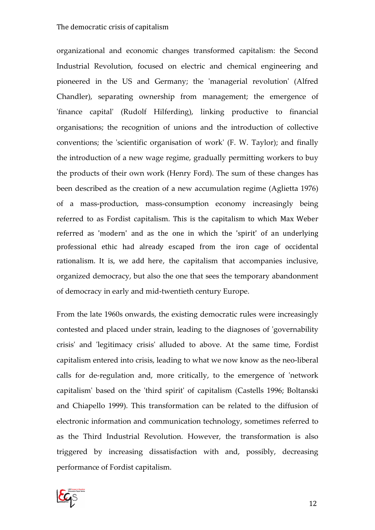organizational and economic changes transformed capitalism: the Second Industrial Revolution, focused on electric and chemical engineering and pioneered in the US and Germany; the 'managerial revolution' (Alfred Chandler), separating ownership from management; the emergence of 'finance capital' (Rudolf Hilferding), linking productive to financial organisations; the recognition of unions and the introduction of collective conventions; the 'scientific organisation of work' (F. W. Taylor); and finally the introduction of a new wage regime, gradually permitting workers to buy the products of their own work (Henry Ford). The sum of these changes has been described as the creation of a new accumulation regime (Aglietta 1976) of a mass-production, mass-consumption economy increasingly being referred to as Fordist capitalism. This is the capitalism to which Max Weber referred as 'modern' and as the one in which the 'spirit' of an underlying professional ethic had already escaped from the iron cage of occidental rationalism. It is, we add here, the capitalism that accompanies inclusive, organized democracy, but also the one that sees the temporary abandonment of democracy in early and mid-twentieth century Europe.

From the late 1960s onwards, the existing democratic rules were increasingly contested and placed under strain, leading to the diagnoses of 'governability crisis' and 'legitimacy crisis' alluded to above. At the same time, Fordist capitalism entered into crisis, leading to what we now know as the neo-liberal calls for de-regulation and, more critically, to the emergence of 'network capitalism' based on the 'third spirit' of capitalism (Castells 1996; Boltanski and Chiapello 1999). This transformation can be related to the diffusion of electronic information and communication technology, sometimes referred to as the Third Industrial Revolution. However, the transformation is also triggered by increasing dissatisfaction with and, possibly, decreasing performance of Fordist capitalism.

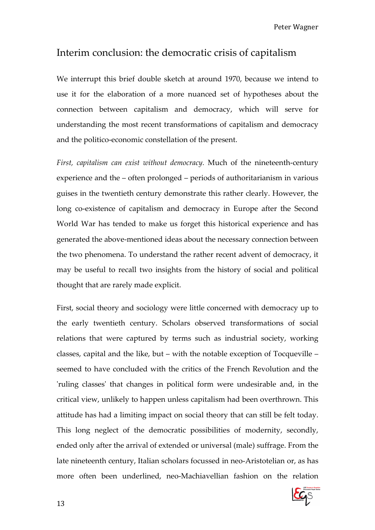### Interim conclusion: the democratic crisis of capitalism

We interrupt this brief double sketch at around 1970, because we intend to use it for the elaboration of a more nuanced set of hypotheses about the connection between capitalism and democracy, which will serve for understanding the most recent transformations of capitalism and democracy and the politico-economic constellation of the present.

*First, capitalism can exist without democracy.* Much of the nineteenth-century experience and the – often prolonged – periods of authoritarianism in various guises in the twentieth century demonstrate this rather clearly. However, the long co-existence of capitalism and democracy in Europe after the Second World War has tended to make us forget this historical experience and has generated the above-mentioned ideas about the necessary connection between the two phenomena. To understand the rather recent advent of democracy, it may be useful to recall two insights from the history of social and political thought that are rarely made explicit.

First, social theory and sociology were little concerned with democracy up to the early twentieth century. Scholars observed transformations of social relations that were captured by terms such as industrial society, working classes, capital and the like, but – with the notable exception of Tocqueville – seemed to have concluded with the critics of the French Revolution and the 'ruling classes' that changes in political form were undesirable and, in the critical view, unlikely to happen unless capitalism had been overthrown. This attitude has had a limiting impact on social theory that can still be felt today. This long neglect of the democratic possibilities of modernity, secondly, ended only after the arrival of extended or universal (male) suffrage. From the late nineteenth century, Italian scholars focussed in neo-Aristotelian or, as has more often been underlined, neo-Machiavellian fashion on the relation

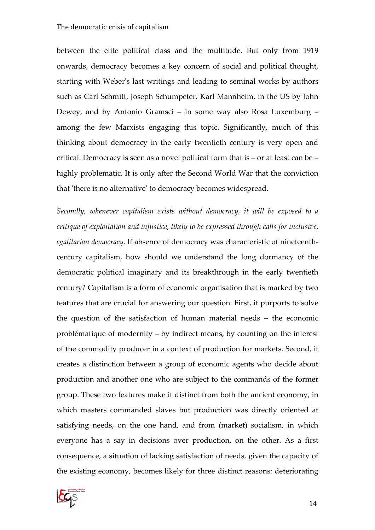between the elite political class and the multitude. But only from 1919 onwards, democracy becomes a key concern of social and political thought, starting with Weber's last writings and leading to seminal works by authors such as Carl Schmitt, Joseph Schumpeter, Karl Mannheim, in the US by John Dewey, and by Antonio Gramsci – in some way also Rosa Luxemburg – among the few Marxists engaging this topic. Significantly, much of this thinking about democracy in the early twentieth century is very open and critical. Democracy is seen as a novel political form that is – or at least can be – highly problematic. It is only after the Second World War that the conviction that 'there is no alternative' to democracy becomes widespread.

*Secondly, whenever capitalism exists without democracy, it will be exposed to a critique of exploitation and injustice, likely to be expressed through calls for inclusive, egalitarian democracy.* If absence of democracy was characteristic of nineteenthcentury capitalism, how should we understand the long dormancy of the democratic political imaginary and its breakthrough in the early twentieth century? Capitalism is a form of economic organisation that is marked by two features that are crucial for answering our question. First, it purports to solve the question of the satisfaction of human material needs – the economic problématique of modernity – by indirect means, by counting on the interest of the commodity producer in a context of production for markets. Second, it creates a distinction between a group of economic agents who decide about production and another one who are subject to the commands of the former group. These two features make it distinct from both the ancient economy, in which masters commanded slaves but production was directly oriented at satisfying needs, on the one hand, and from (market) socialism, in which everyone has a say in decisions over production, on the other. As a first consequence, a situation of lacking satisfaction of needs, given the capacity of the existing economy, becomes likely for three distinct reasons: deteriorating

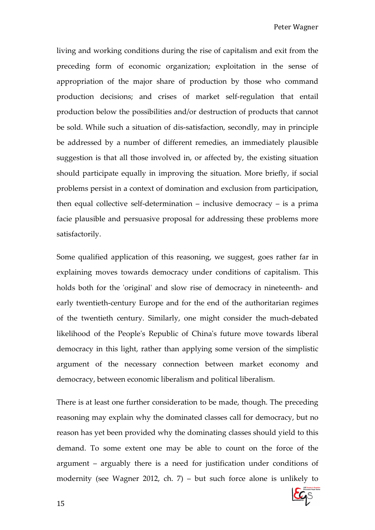living and working conditions during the rise of capitalism and exit from the preceding form of economic organization; exploitation in the sense of appropriation of the major share of production by those who command production decisions; and crises of market self-regulation that entail production below the possibilities and/or destruction of products that cannot be sold. While such a situation of dis-satisfaction, secondly, may in principle be addressed by a number of different remedies, an immediately plausible suggestion is that all those involved in, or affected by, the existing situation should participate equally in improving the situation. More briefly, if social problems persist in a context of domination and exclusion from participation, then equal collective self-determination – inclusive democracy – is a prima facie plausible and persuasive proposal for addressing these problems more satisfactorily.

Some qualified application of this reasoning, we suggest, goes rather far in explaining moves towards democracy under conditions of capitalism. This holds both for the 'original' and slow rise of democracy in nineteenth- and early twentieth-century Europe and for the end of the authoritarian regimes of the twentieth century. Similarly, one might consider the much-debated likelihood of the People's Republic of China's future move towards liberal democracy in this light, rather than applying some version of the simplistic argument of the necessary connection between market economy and democracy, between economic liberalism and political liberalism.

There is at least one further consideration to be made, though. The preceding reasoning may explain why the dominated classes call for democracy, but no reason has yet been provided why the dominating classes should yield to this demand. To some extent one may be able to count on the force of the argument – arguably there is a need for justification under conditions of modernity (see Wagner 2012, ch. 7) – but such force alone is unlikely to

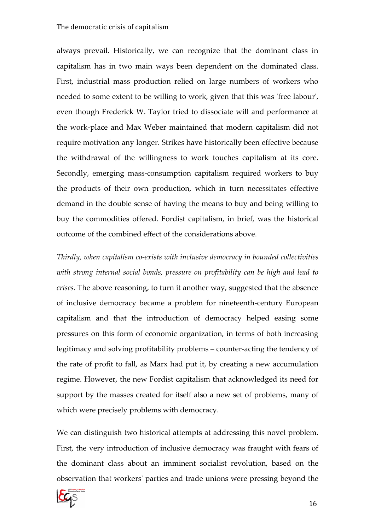always prevail. Historically, we can recognize that the dominant class in capitalism has in two main ways been dependent on the dominated class. First, industrial mass production relied on large numbers of workers who needed to some extent to be willing to work, given that this was 'free labour', even though Frederick W. Taylor tried to dissociate will and performance at the work-place and Max Weber maintained that modern capitalism did not require motivation any longer. Strikes have historically been effective because the withdrawal of the willingness to work touches capitalism at its core. Secondly, emerging mass-consumption capitalism required workers to buy the products of their own production, which in turn necessitates effective demand in the double sense of having the means to buy and being willing to buy the commodities offered. Fordist capitalism, in brief, was the historical outcome of the combined effect of the considerations above.

*Thirdly, when capitalism co-exists with inclusive democracy in bounded collectivities with strong internal social bonds, pressure on profitability can be high and lead to crises.* The above reasoning, to turn it another way, suggested that the absence of inclusive democracy became a problem for nineteenth-century European capitalism and that the introduction of democracy helped easing some pressures on this form of economic organization, in terms of both increasing legitimacy and solving profitability problems – counter-acting the tendency of the rate of profit to fall, as Marx had put it, by creating a new accumulation regime. However, the new Fordist capitalism that acknowledged its need for support by the masses created for itself also a new set of problems, many of which were precisely problems with democracy.

We can distinguish two historical attempts at addressing this novel problem. First, the very introduction of inclusive democracy was fraught with fears of the dominant class about an imminent socialist revolution, based on the observation that workers' parties and trade unions were pressing beyond the

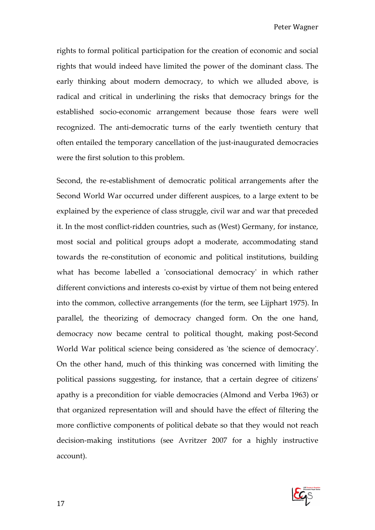rights to formal political participation for the creation of economic and social rights that would indeed have limited the power of the dominant class. The early thinking about modern democracy, to which we alluded above, is radical and critical in underlining the risks that democracy brings for the established socio-economic arrangement because those fears were well recognized. The anti-democratic turns of the early twentieth century that often entailed the temporary cancellation of the just-inaugurated democracies were the first solution to this problem.

Second, the re-establishment of democratic political arrangements after the Second World War occurred under different auspices, to a large extent to be explained by the experience of class struggle, civil war and war that preceded it. In the most conflict-ridden countries, such as (West) Germany, for instance, most social and political groups adopt a moderate, accommodating stand towards the re-constitution of economic and political institutions, building what has become labelled a 'consociational democracy' in which rather different convictions and interests co-exist by virtue of them not being entered into the common, collective arrangements (for the term, see Lijphart 1975). In parallel, the theorizing of democracy changed form. On the one hand, democracy now became central to political thought, making post-Second World War political science being considered as 'the science of democracy'. On the other hand, much of this thinking was concerned with limiting the political passions suggesting, for instance, that a certain degree of citizens' apathy is a precondition for viable democracies (Almond and Verba 1963) or that organized representation will and should have the effect of filtering the more conflictive components of political debate so that they would not reach decision-making institutions (see Avritzer 2007 for a highly instructive account).

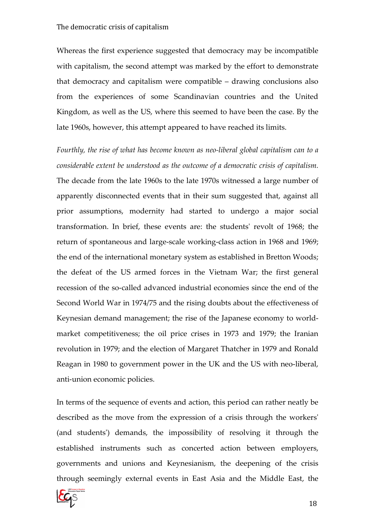Whereas the first experience suggested that democracy may be incompatible with capitalism, the second attempt was marked by the effort to demonstrate that democracy and capitalism were compatible – drawing conclusions also from the experiences of some Scandinavian countries and the United Kingdom, as well as the US, where this seemed to have been the case. By the late 1960s, however, this attempt appeared to have reached its limits.

*Fourthly, the rise of what has become known as neo-liberal global capitalism can to a considerable extent be understood as the outcome of a democratic crisis of capitalism.* The decade from the late 1960s to the late 1970s witnessed a large number of apparently disconnected events that in their sum suggested that, against all prior assumptions, modernity had started to undergo a major social transformation. In brief, these events are: the students' revolt of 1968; the return of spontaneous and large-scale working-class action in 1968 and 1969; the end of the international monetary system as established in Bretton Woods; the defeat of the US armed forces in the Vietnam War; the first general recession of the so-called advanced industrial economies since the end of the Second World War in 1974/75 and the rising doubts about the effectiveness of Keynesian demand management; the rise of the Japanese economy to worldmarket competitiveness; the oil price crises in 1973 and 1979; the Iranian revolution in 1979; and the election of Margaret Thatcher in 1979 and Ronald Reagan in 1980 to government power in the UK and the US with neo-liberal, anti-union economic policies.

In terms of the sequence of events and action, this period can rather neatly be described as the move from the expression of a crisis through the workers' (and students') demands, the impossibility of resolving it through the established instruments such as concerted action between employers, governments and unions and Keynesianism, the deepening of the crisis through seemingly external events in East Asia and the Middle East, the

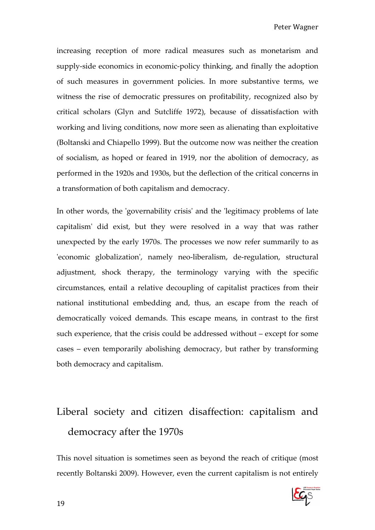increasing reception of more radical measures such as monetarism and supply-side economics in economic-policy thinking, and finally the adoption of such measures in government policies. In more substantive terms, we witness the rise of democratic pressures on profitability, recognized also by critical scholars (Glyn and Sutcliffe 1972), because of dissatisfaction with working and living conditions, now more seen as alienating than exploitative (Boltanski and Chiapello 1999). But the outcome now was neither the creation of socialism, as hoped or feared in 1919, nor the abolition of democracy, as performed in the 1920s and 1930s, but the deflection of the critical concerns in a transformation of both capitalism and democracy.

In other words, the 'governability crisis' and the 'legitimacy problems of late capitalism' did exist, but they were resolved in a way that was rather unexpected by the early 1970s. The processes we now refer summarily to as 'economic globalization', namely neo-liberalism, de-regulation, structural adjustment, shock therapy, the terminology varying with the specific circumstances, entail a relative decoupling of capitalist practices from their national institutional embedding and, thus, an escape from the reach of democratically voiced demands. This escape means, in contrast to the first such experience, that the crisis could be addressed without – except for some cases – even temporarily abolishing democracy, but rather by transforming both democracy and capitalism.

## Liberal society and citizen disaffection: capitalism and democracy after the 1970s

This novel situation is sometimes seen as beyond the reach of critique (most recently Boltanski 2009). However, even the current capitalism is not entirely

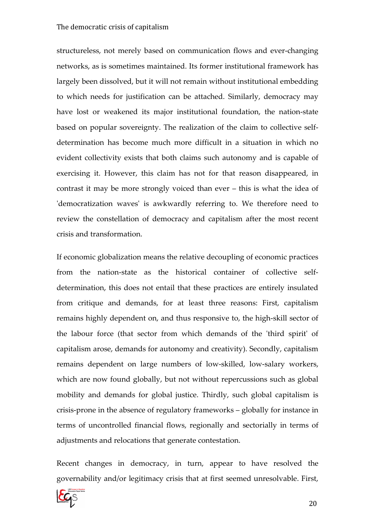structureless, not merely based on communication flows and ever-changing networks, as is sometimes maintained. Its former institutional framework has largely been dissolved, but it will not remain without institutional embedding to which needs for justification can be attached. Similarly, democracy may have lost or weakened its major institutional foundation, the nation-state based on popular sovereignty. The realization of the claim to collective selfdetermination has become much more difficult in a situation in which no evident collectivity exists that both claims such autonomy and is capable of exercising it. However, this claim has not for that reason disappeared, in contrast it may be more strongly voiced than ever – this is what the idea of 'democratization waves' is awkwardly referring to. We therefore need to review the constellation of democracy and capitalism after the most recent crisis and transformation.

If economic globalization means the relative decoupling of economic practices from the nation-state as the historical container of collective selfdetermination, this does not entail that these practices are entirely insulated from critique and demands, for at least three reasons: First, capitalism remains highly dependent on, and thus responsive to, the high-skill sector of the labour force (that sector from which demands of the 'third spirit' of capitalism arose, demands for autonomy and creativity). Secondly, capitalism remains dependent on large numbers of low-skilled, low-salary workers, which are now found globally, but not without repercussions such as global mobility and demands for global justice. Thirdly, such global capitalism is crisis-prone in the absence of regulatory frameworks – globally for instance in terms of uncontrolled financial flows, regionally and sectorially in terms of adjustments and relocations that generate contestation.

Recent changes in democracy, in turn, appear to have resolved the governability and/or legitimacy crisis that at first seemed unresolvable. First,

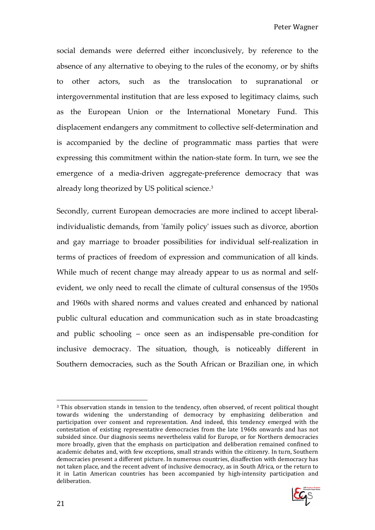social demands were deferred either inconclusively, by reference to the absence of any alternative to obeying to the rules of the economy, or by shifts to other actors, such as the translocation to supranational or intergovernmental institution that are less exposed to legitimacy claims, such as the European Union or the International Monetary Fund. This displacement endangers any commitment to collective self-determination and is accompanied by the decline of programmatic mass parties that were expressing this commitment within the nation-state form. In turn, we see the emergence of a media-driven aggregate-preference democracy that was already long theorized by US political science.<sup>3</sup>

Secondly, current European democracies are more inclined to accept liberalindividualistic demands, from 'family policy' issues such as divorce, abortion and gay marriage to broader possibilities for individual self-realization in terms of practices of freedom of expression and communication of all kinds. While much of recent change may already appear to us as normal and selfevident, we only need to recall the climate of cultural consensus of the 1950s and 1960s with shared norms and values created and enhanced by national public cultural education and communication such as in state broadcasting and public schooling – once seen as an indispensable pre-condition for inclusive democracy. The situation, though, is noticeably different in Southern democracies, such as the South African or Brazilian one, in which

<sup>&</sup>lt;sup>3</sup> This observation stands in tension to the tendency, often observed, of recent political thought towards widening the understanding of democracy by emphasizing deliberation and participation over consent and representation. And indeed, this tendency emerged with the contestation of existing representative democracies from the late 1960s onwards and has not subsided since. Our diagnosis seems nevertheless valid for Europe, or for Northern democracies more broadly, given that the emphasis on participation and deliberation remained confined to academic debates and, with few exceptions, small strands within the citizenry. In turn, Southern democracies present a different picture. In numerous countries, disaffection with democracy has not taken place, and the recent advent of inclusive democracy, as in South Africa, or the return to it in Latin American countries has been accompanied by high-intensity participation and deliberation.



 $\overline{a}$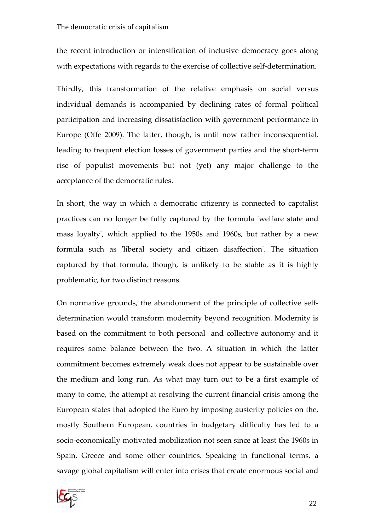the recent introduction or intensification of inclusive democracy goes along with expectations with regards to the exercise of collective self-determination.

Thirdly, this transformation of the relative emphasis on social versus individual demands is accompanied by declining rates of formal political participation and increasing dissatisfaction with government performance in Europe (Offe 2009). The latter, though, is until now rather inconsequential, leading to frequent election losses of government parties and the short-term rise of populist movements but not (yet) any major challenge to the acceptance of the democratic rules.

In short, the way in which a democratic citizenry is connected to capitalist practices can no longer be fully captured by the formula 'welfare state and mass loyalty', which applied to the 1950s and 1960s, but rather by a new formula such as 'liberal society and citizen disaffection'. The situation captured by that formula, though, is unlikely to be stable as it is highly problematic, for two distinct reasons.

On normative grounds, the abandonment of the principle of collective selfdetermination would transform modernity beyond recognition. Modernity is based on the commitment to both personal and collective autonomy and it requires some balance between the two. A situation in which the latter commitment becomes extremely weak does not appear to be sustainable over the medium and long run. As what may turn out to be a first example of many to come, the attempt at resolving the current financial crisis among the European states that adopted the Euro by imposing austerity policies on the, mostly Southern European, countries in budgetary difficulty has led to a socio-economically motivated mobilization not seen since at least the 1960s in Spain, Greece and some other countries. Speaking in functional terms, a savage global capitalism will enter into crises that create enormous social and

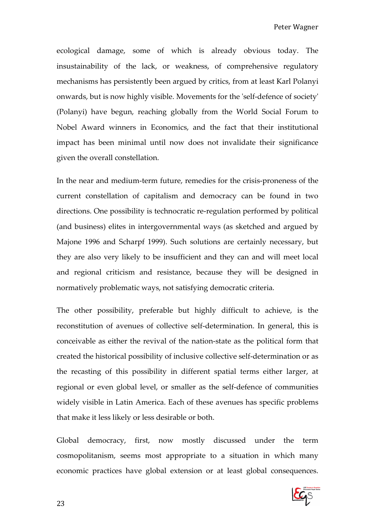ecological damage, some of which is already obvious today. The insustainability of the lack, or weakness, of comprehensive regulatory mechanisms has persistently been argued by critics, from at least Karl Polanyi onwards, but is now highly visible. Movements for the 'self-defence of society' (Polanyi) have begun, reaching globally from the World Social Forum to Nobel Award winners in Economics, and the fact that their institutional impact has been minimal until now does not invalidate their significance given the overall constellation.

In the near and medium-term future, remedies for the crisis-proneness of the current constellation of capitalism and democracy can be found in two directions. One possibility is technocratic re-regulation performed by political (and business) elites in intergovernmental ways (as sketched and argued by Majone 1996 and Scharpf 1999). Such solutions are certainly necessary, but they are also very likely to be insufficient and they can and will meet local and regional criticism and resistance, because they will be designed in normatively problematic ways, not satisfying democratic criteria.

The other possibility, preferable but highly difficult to achieve, is the reconstitution of avenues of collective self-determination. In general, this is conceivable as either the revival of the nation-state as the political form that created the historical possibility of inclusive collective self-determination or as the recasting of this possibility in different spatial terms either larger, at regional or even global level, or smaller as the self-defence of communities widely visible in Latin America. Each of these avenues has specific problems that make it less likely or less desirable or both.

Global democracy, first, now mostly discussed under the term cosmopolitanism, seems most appropriate to a situation in which many economic practices have global extension or at least global consequences.



23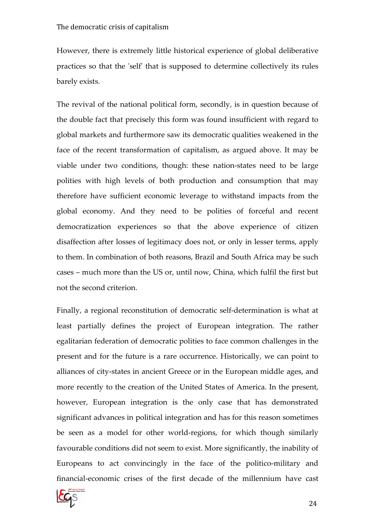However, there is extremely little historical experience of global deliberative practices so that the 'self' that is supposed to determine collectively its rules barely exists.

The revival of the national political form, secondly, is in question because of the double fact that precisely this form was found insufficient with regard to global markets and furthermore saw its democratic qualities weakened in the face of the recent transformation of capitalism, as argued above. It may be viable under two conditions, though: these nation-states need to be large polities with high levels of both production and consumption that may therefore have sufficient economic leverage to withstand impacts from the global economy. And they need to be polities of forceful and recent democratization experiences so that the above experience of citizen disaffection after losses of legitimacy does not, or only in lesser terms, apply to them. In combination of both reasons, Brazil and South Africa may be such cases – much more than the US or, until now, China, which fulfil the first but not the second criterion.

Finally, a regional reconstitution of democratic self-determination is what at least partially defines the project of European integration. The rather egalitarian federation of democratic polities to face common challenges in the present and for the future is a rare occurrence. Historically, we can point to alliances of city-states in ancient Greece or in the European middle ages, and more recently to the creation of the United States of America. In the present, however, European integration is the only case that has demonstrated significant advances in political integration and has for this reason sometimes be seen as a model for other world-regions, for which though similarly favourable conditions did not seem to exist. More significantly, the inability of Europeans to act convincingly in the face of the politico-military and financial-economic crises of the first decade of the millennium have cast

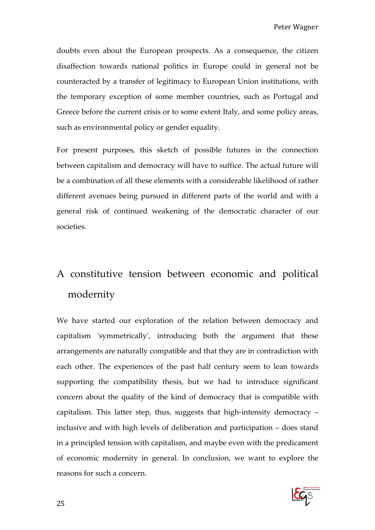doubts even about the European prospects. As a consequence, the citizen disaffection towards national politics in Europe could in general not be counteracted by a transfer of legitimacy to European Union institutions, with the temporary exception of some member countries, such as Portugal and Greece before the current crisis or to some extent Italy, and some policy areas, such as environmental policy or gender equality.

For present purposes, this sketch of possible futures in the connection between capitalism and democracy will have to suffice. The actual future will be a combination of all these elements with a considerable likelihood of rather different avenues being pursued in different parts of the world and with a general risk of continued weakening of the democratic character of our societies.

## A constitutive tension between economic and political modernity

We have started our exploration of the relation between democracy and capitalism 'symmetrically', introducing both the argument that these arrangements are naturally compatible and that they are in contradiction with each other. The experiences of the past half century seem to lean towards supporting the compatibility thesis, but we had to introduce significant concern about the quality of the kind of democracy that is compatible with capitalism. This latter step, thus, suggests that high-intensity democracy – inclusive and with high levels of deliberation and participation – does stand in a principled tension with capitalism, and maybe even with the predicament of economic modernity in general. In conclusion, we want to explore the reasons for such a concern.

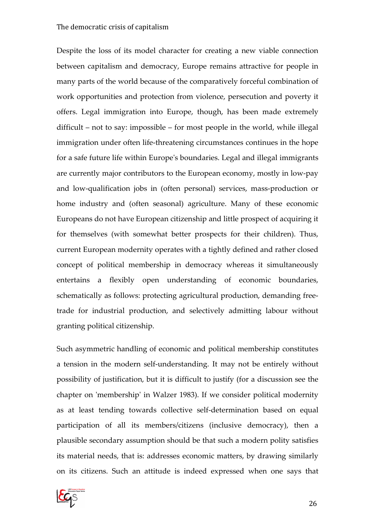Despite the loss of its model character for creating a new viable connection between capitalism and democracy, Europe remains attractive for people in many parts of the world because of the comparatively forceful combination of work opportunities and protection from violence, persecution and poverty it offers. Legal immigration into Europe, though, has been made extremely difficult – not to say: impossible – for most people in the world, while illegal immigration under often life-threatening circumstances continues in the hope for a safe future life within Europe's boundaries. Legal and illegal immigrants are currently major contributors to the European economy, mostly in low-pay and low-qualification jobs in (often personal) services, mass-production or home industry and (often seasonal) agriculture. Many of these economic Europeans do not have European citizenship and little prospect of acquiring it for themselves (with somewhat better prospects for their children). Thus, current European modernity operates with a tightly defined and rather closed concept of political membership in democracy whereas it simultaneously entertains a flexibly open understanding of economic boundaries, schematically as follows: protecting agricultural production, demanding freetrade for industrial production, and selectively admitting labour without granting political citizenship.

Such asymmetric handling of economic and political membership constitutes a tension in the modern self-understanding. It may not be entirely without possibility of justification, but it is difficult to justify (for a discussion see the chapter on 'membership' in Walzer 1983). If we consider political modernity as at least tending towards collective self-determination based on equal participation of all its members/citizens (inclusive democracy), then a plausible secondary assumption should be that such a modern polity satisfies its material needs, that is: addresses economic matters, by drawing similarly on its citizens. Such an attitude is indeed expressed when one says that

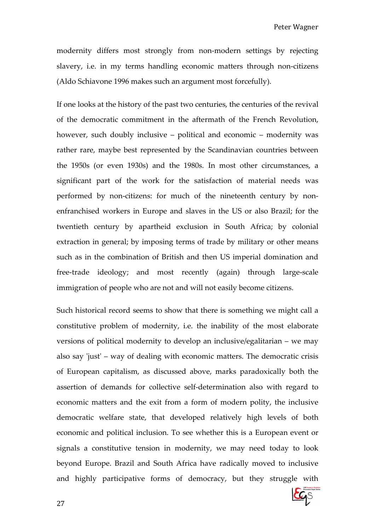modernity differs most strongly from non-modern settings by rejecting slavery, i.e. in my terms handling economic matters through non-citizens (Aldo Schiavone 1996 makes such an argument most forcefully).

If one looks at the history of the past two centuries, the centuries of the revival of the democratic commitment in the aftermath of the French Revolution, however, such doubly inclusive – political and economic – modernity was rather rare, maybe best represented by the Scandinavian countries between the 1950s (or even 1930s) and the 1980s. In most other circumstances, a significant part of the work for the satisfaction of material needs was performed by non-citizens: for much of the nineteenth century by nonenfranchised workers in Europe and slaves in the US or also Brazil; for the twentieth century by apartheid exclusion in South Africa; by colonial extraction in general; by imposing terms of trade by military or other means such as in the combination of British and then US imperial domination and free-trade ideology; and most recently (again) through large-scale immigration of people who are not and will not easily become citizens.

Such historical record seems to show that there is something we might call a constitutive problem of modernity, i.e. the inability of the most elaborate versions of political modernity to develop an inclusive/egalitarian – we may also say 'just' – way of dealing with economic matters. The democratic crisis of European capitalism, as discussed above, marks paradoxically both the assertion of demands for collective self-determination also with regard to economic matters and the exit from a form of modern polity, the inclusive democratic welfare state, that developed relatively high levels of both economic and political inclusion. To see whether this is a European event or signals a constitutive tension in modernity, we may need today to look beyond Europe. Brazil and South Africa have radically moved to inclusive and highly participative forms of democracy, but they struggle with

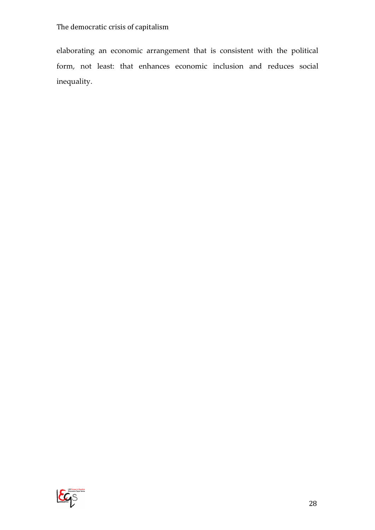elaborating an economic arrangement that is consistent with the political form, not least: that enhances economic inclusion and reduces social inequality.

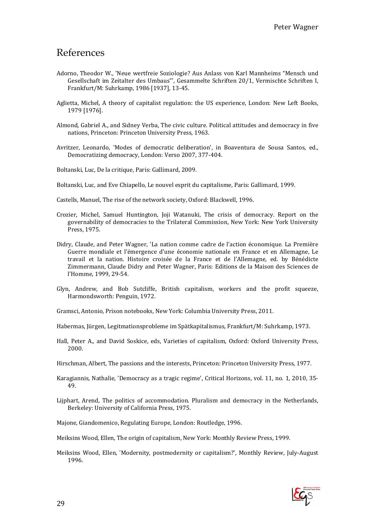### References

- Adorno, Theodor W., 'Neue wertfreie Soziologie? Aus Anlass von Karl Mannheims "Mensch und Gesellschaft im Zeitalter des Umbaus"', Gesammelte Schriften 20/1, Vermischte Schriften I, Frankfurt/M: Suhrkamp, 1986 [1937], 13-45.
- Aglietta, Michel, A theory of capitalist regulation: the US experience, London: New Left Books, 1979 [1976].
- Almond, Gabriel A., and Sidney Verba, The civic culture. Political attitudes and democracy in five nations, Princeton: Princeton University Press, 1963.
- Avritzer, Leonardo, 'Modes of democratic deliberation', in Boaventura de Sousa Santos, ed., Democratizing democracy, London: Verso 2007, 377-404.

Boltanski, Luc, De la critique, Paris: Gallimard, 2009.

Boltanski, Luc, and Eve Chiapello, Le nouvel esprit du capitalisme, Paris: Gallimard, 1999.

Castells, Manuel, The rise of the network society, Oxford: Blackwell, 1996.

- Crozier, Michel, Samuel Huntington, Joji Watanuki, The crisis of democracy. Report on the governability of democracies to the Trilateral Commission, New York: New York University Press, 1975.
- Didry, Claude, and Peter Wagner, 'La nation comme cadre de l'action économique. La Première Guerre mondiale et l'émergence d'une économie nationale en France et en Allemagne, Le travail et la nation. Histoire croisée de la France et de l'Allemagne, ed. by Bénédicte Zimmermann, Claude Didry and Peter Wagner, Paris: Editions de la Maison des Sciences de l'Homme, 1999, 29-54.
- Glyn, Andrew, and Bob Sutcliffe, British capitalism, workers and the profit squeeze, Harmondsworth: Penguin, 1972.
- Gramsci, Antonio, Prison notebooks, New York: Columbia University Press, 2011.
- Habermas, Jürgen, Legitmationsprobleme im Spätkapitalismus, Frankfurt/M: Suhrkamp, 1973.
- Hall, Peter A., and David Soskice, eds, Varieties of capitalism, Oxford: Oxford University Press, 2000.
- Hirschman, Albert, The passions and the interests, Princeton: Princeton University Press, 1977.
- Karagiannis, Nathalie, 'Democracy as a tragic regime', Critical Horizons, vol. 11, no. 1, 2010, 35- 49.
- Lijphart, Arend, The politics of accommodation. Pluralism and democracy in the Netherlands, Berkeley: University of California Press, 1975.
- Majone, Giandomenico, Regulating Europe, London: Routledge, 1996.
- Meiksins Wood, Ellen, The origin of capitalism, New York: Monthly Review Press, 1999.
- Meiksins Wood, Ellen, 'Modernity, postmodernity or capitalism?', Monthly Review, July-August 1996.

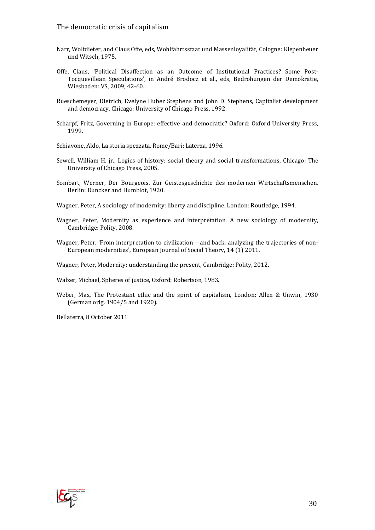- Narr, Wolfdieter, and Claus Offe, eds, Wohlfahrtsstaat und Massenloyalität, Cologne: Kiepenheuer und Witsch, 1975.
- Offe, Claus, 'Political Disaffection as an Outcome of Institutional Practices? Some Post-Tocquevillean Speculations', in André Brodocz et al., eds, Bedrohungen der Demokratie, Wiesbaden: VS, 2009, 42-60.
- Rueschemeyer, Dietrich, Evelyne Huber Stephens and John D. Stephens, Capitalist development and democracy, Chicago: University of Chicago Press, 1992.
- Scharpf, Fritz, Governing in Europe: effective and democratic? Oxford: Oxford University Press, 1999.
- Schiavone, Aldo, La storia spezzata, Rome/Bari: Laterza, 1996.
- Sewell, William H. jr., Logics of history: social theory and social transformations, Chicago: The University of Chicago Press, 2005.
- Sombart, Werner, Der Bourgeois. Zur Geistesgeschichte des modernen Wirtschaftsmenschen, Berlin: Duncker and Humblot, 1920.
- Wagner, Peter, A sociology of modernity: liberty and discipline, London: Routledge, 1994.
- Wagner, Peter, Modernity as experience and interpretation. A new sociology of modernity, Cambridge: Polity, 2008.
- Wagner, Peter, 'From interpretation to civilization and back: analyzing the trajectories of non-European modernities', European Journal of Social Theory, 14 (1) 2011.
- Wagner, Peter, Modernity: understanding the present, Cambridge: Polity, 2012.

Walzer, Michael, Spheres of justice, Oxford: Robertson, 1983.

Weber, Max, The Protestant ethic and the spirit of capitalism, London: Allen & Unwin, 1930 (German orig. 1904/5 and 1920).

Bellaterra, 8 October 2011

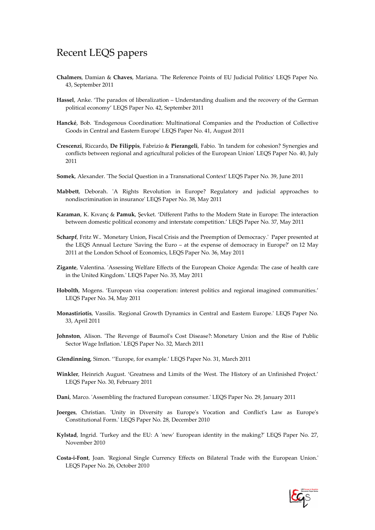### Recent LEQS papers

- **Chalmers**, Damian & **Chaves**, Mariana. 'The Reference Points of EU Judicial Politics' LEQS Paper No. 43, September 2011
- **Hassel**, Anke. 'The paradox of liberalization Understanding dualism and the recovery of the German political economy' LEQS Paper No. 42, September 2011
- **Hancké**, Bob. 'Endogenous Coordination: Multinational Companies and the Production of Collective Goods in Central and Eastern Europe' LEQS Paper No. 41, August 2011
- **Crescenzi**, Riccardo, **De Filippis**, Fabrizio & **Pierangeli**, Fabio. 'In tandem for cohesion? Synergies and conflicts between regional and agricultural policies of the European Union' LEQS Paper No. 40, July 2011
- **Somek**, Alexander. 'The Social Question in a Transnational Context' LEQS Paper No. 39, June 2011
- **Mabbett**, Deborah. 'A Rights Revolution in Europe? Regulatory and judicial approaches to nondiscrimination in insurance' LEQS Paper No. 38, May 2011
- **Karaman**, K. Kıvanç & **Pamuk**, Şevket. 'Different Paths to the Modern State in Europe: The interaction between domestic political economy and interstate competition.' LEQS Paper No. 37, May 2011
- **Scharpf**, Fritz W.. 'Monetary Union, Fiscal Crisis and the Preemption of Democracy.' Paper presented at the LEQS Annual Lecture 'Saving the Euro – at the expense of democracy in Europe?' on 12 May 2011 at the London School of Economics, LEQS Paper No. 36, May 2011
- **Zigante**, Valentina. 'Assessing Welfare Effects of the European Choice Agenda: The case of health care in the United Kingdom.' LEQS Paper No. 35, May 2011
- **Hobolth**, Mogens. 'European visa cooperation: interest politics and regional imagined communities.' LEQS Paper No. 34, May 2011
- **Monastiriotis**, Vassilis. 'Regional Growth Dynamics in Central and Eastern Europe.' LEQS Paper No. 33, April 2011
- **Johnston**, Alison. 'The Revenge of Baumol's Cost Disease?: Monetary Union and the Rise of Public Sector Wage Inflation.' LEQS Paper No. 32, March 2011
- **Glendinning**, Simon. ''Europe, for example.' LEQS Paper No. 31, March 2011
- **Winkler**, Heinrich August. 'Greatness and Limits of the West. The History of an Unfinished Project.' LEQS Paper No. 30, February 2011
- **Dani**, Marco. 'Assembling the fractured European consumer.' LEQS Paper No. 29, January 2011
- **Joerges**, Christian. 'Unity in Diversity as Europe's Vocation and Conflict's Law as Europe's Constitutional Form.' LEQS Paper No. 28, December 2010
- **Kylstad**, Ingrid. 'Turkey and the EU: A 'new' European identity in the making?' LEQS Paper No. 27, November 2010
- **Costa-i-Font**, Joan. 'Regional Single Currency Effects on Bilateral Trade with the European Union.' LEQS Paper No. 26, October 2010